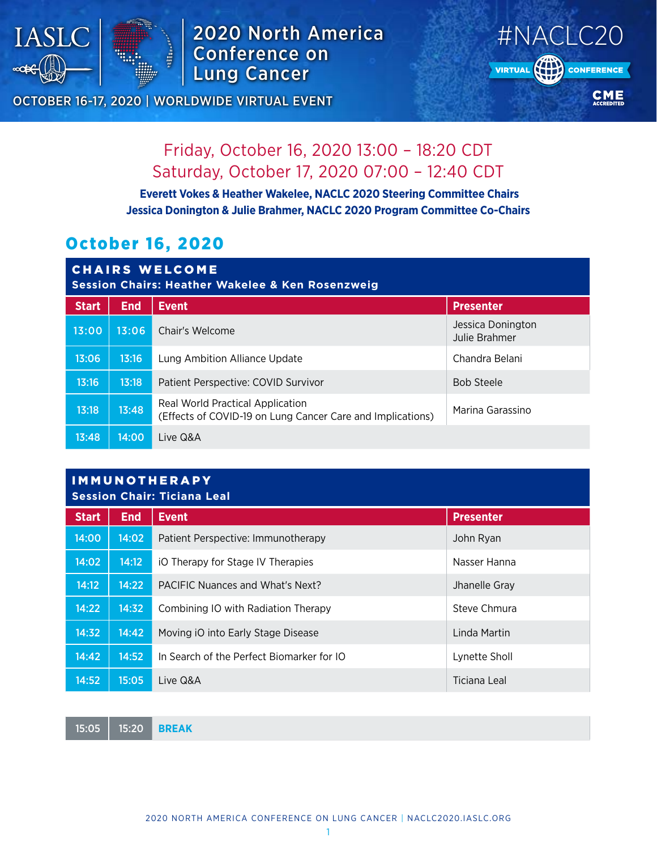

## 2020 North America Conference on Lung Cancer



### OCTOBER 16-17, 2020 | WORLDWIDE VIRTUAL EVENT

# Friday, October 16, 2020 13:00 – 18:20 CDT Saturday, October 17, 2020 07:00 – 12:40 CDT

 **Everett Vokes & Heather Wakelee, NACLC 2020 Steering Committee Chairs Jessica Donington & Julie Brahmer, NACLC 2020 Program Committee Co-Chairs**

## October 16, 2020

| <b>CHAIRS WELCOME</b><br><b>Session Chairs: Heather Wakelee &amp; Ken Rosenzweig</b> |            |                                                                                                |                                    |  |
|--------------------------------------------------------------------------------------|------------|------------------------------------------------------------------------------------------------|------------------------------------|--|
| <b>Start</b>                                                                         | <b>End</b> | <b>Event</b>                                                                                   | <b>Presenter</b>                   |  |
| 13:00                                                                                | 13:06      | Chair's Welcome                                                                                | Jessica Donington<br>Julie Brahmer |  |
| 13:06                                                                                | 13:16      | Lung Ambition Alliance Update                                                                  | Chandra Belani                     |  |
| 13:16                                                                                | 13:18      | Patient Perspective: COVID Survivor                                                            | <b>Bob Steele</b>                  |  |
| 13:18                                                                                | 13:48      | Real World Practical Application<br>(Effects of COVID-19 on Lung Cancer Care and Implications) | Marina Garassino                   |  |
| 13:48                                                                                | 14:00      | Live Q&A                                                                                       |                                    |  |

### IMMUNOTHERAPY **Session Chair: Ticiana Leal**

| <b>Start</b> | <b>End</b> | <b>Event</b>                              | <b>Presenter</b> |  |
|--------------|------------|-------------------------------------------|------------------|--|
| 14:00        | 14:02      | Patient Perspective: Immunotherapy        | John Ryan        |  |
| 14:02        | 14:12      | iO Therapy for Stage IV Therapies         | Nasser Hanna     |  |
| 14:12        | 14:22      | PACIFIC Nuances and What's Next?          | Jhanelle Gray    |  |
| 14:22        | 14:32      | Combining IO with Radiation Therapy       | Steve Chmura     |  |
| 14:32        | 14:42      | Moving iO into Early Stage Disease        | Linda Martin     |  |
| 14:42        | 14:52      | In Search of the Perfect Biomarker for IO | Lynette Sholl    |  |
| 14:52        | 15:05      | Live Q&A                                  | Ticiana Leal     |  |

15:05 15:20 **BREAK**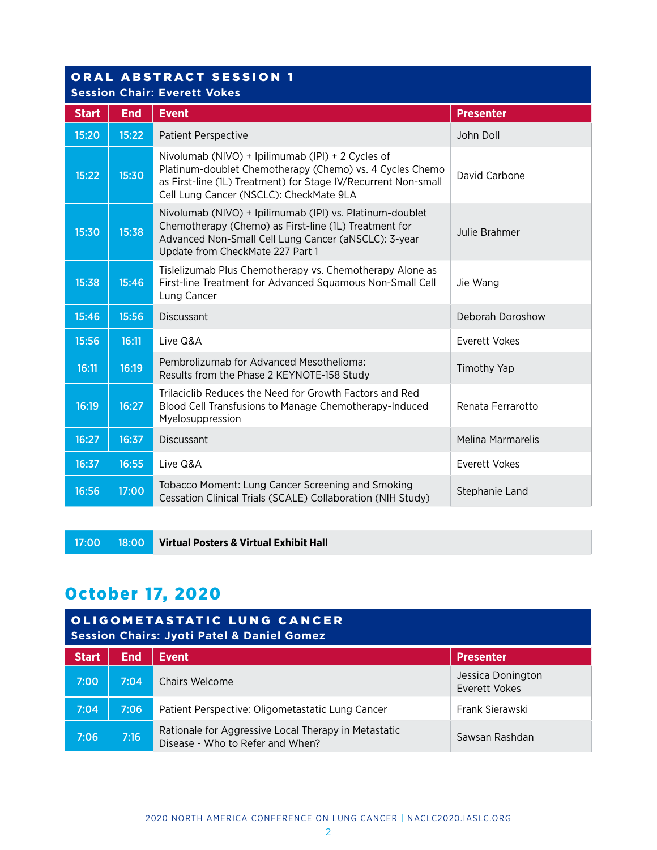# ORAL ABSTRACT SESSION 1

**Session Chair: Everett Vokes**

| <b>Start</b> | <b>End</b> | <b>Event</b>                                                                                                                                                                                                               | <b>Presenter</b>         |
|--------------|------------|----------------------------------------------------------------------------------------------------------------------------------------------------------------------------------------------------------------------------|--------------------------|
| 15:20        | 15:22      | <b>Patient Perspective</b>                                                                                                                                                                                                 | John Doll                |
| 15:22        | 15:30      | Nivolumab (NIVO) + Ipilimumab (IPI) + 2 Cycles of<br>Platinum-doublet Chemotherapy (Chemo) vs. 4 Cycles Chemo<br>as First-line (1L) Treatment) for Stage IV/Recurrent Non-small<br>Cell Lung Cancer (NSCLC): CheckMate 9LA | David Carbone            |
| 15:30        | 15:38      | Nivolumab (NIVO) + Ipilimumab (IPI) vs. Platinum-doublet<br>Chemotherapy (Chemo) as First-line (1L) Treatment for<br>Advanced Non-Small Cell Lung Cancer (aNSCLC): 3-year<br>Update from CheckMate 227 Part 1              | Julie Brahmer            |
| 15:38        | 15:46      | Tislelizumab Plus Chemotherapy vs. Chemotherapy Alone as<br>First-line Treatment for Advanced Squamous Non-Small Cell<br>Lung Cancer                                                                                       | Jie Wang                 |
| 15:46        | 15:56      | <b>Discussant</b>                                                                                                                                                                                                          | Deborah Doroshow         |
| 15:56        | 16:11      | Live Q&A                                                                                                                                                                                                                   | Everett Vokes            |
| 16:11        | 16:19      | Pembrolizumab for Advanced Mesothelioma:<br>Results from the Phase 2 KEYNOTE-158 Study                                                                                                                                     | Timothy Yap              |
| 16:19        | 16:27      | Trilaciclib Reduces the Need for Growth Factors and Red<br>Blood Cell Transfusions to Manage Chemotherapy-Induced<br>Myelosuppression                                                                                      | Renata Ferrarotto        |
| 16:27        | 16:37      | <b>Discussant</b>                                                                                                                                                                                                          | <b>Melina Marmarelis</b> |
| 16:37        | 16:55      | Live Q&A                                                                                                                                                                                                                   | <b>Everett Vokes</b>     |
| 16:56        | 17:00      | Tobacco Moment: Lung Cancer Screening and Smoking<br>Cessation Clinical Trials (SCALE) Collaboration (NIH Study)                                                                                                           | Stephanie Land           |

17:00 18:00 **Virtual Posters & Virtual Exhibit Hall**

## October 17, 2020

| <b>OLIGOMETASTATIC LUNG CANCER</b><br><b>Session Chairs: Jyoti Patel &amp; Daniel Gomez</b> |            |                                                                                          |                                    |
|---------------------------------------------------------------------------------------------|------------|------------------------------------------------------------------------------------------|------------------------------------|
| <b>Start</b>                                                                                | <b>End</b> | <b>Event</b>                                                                             | <b>Presenter</b>                   |
| 7:00                                                                                        | 7:04       | Chairs Welcome                                                                           | Jessica Donington<br>Everett Vokes |
| 7:04                                                                                        | 7:06       | Patient Perspective: Oligometastatic Lung Cancer                                         | Frank Sierawski                    |
| 7:06                                                                                        | 7:16       | Rationale for Aggressive Local Therapy in Metastatic<br>Disease - Who to Refer and When? | Sawsan Rashdan                     |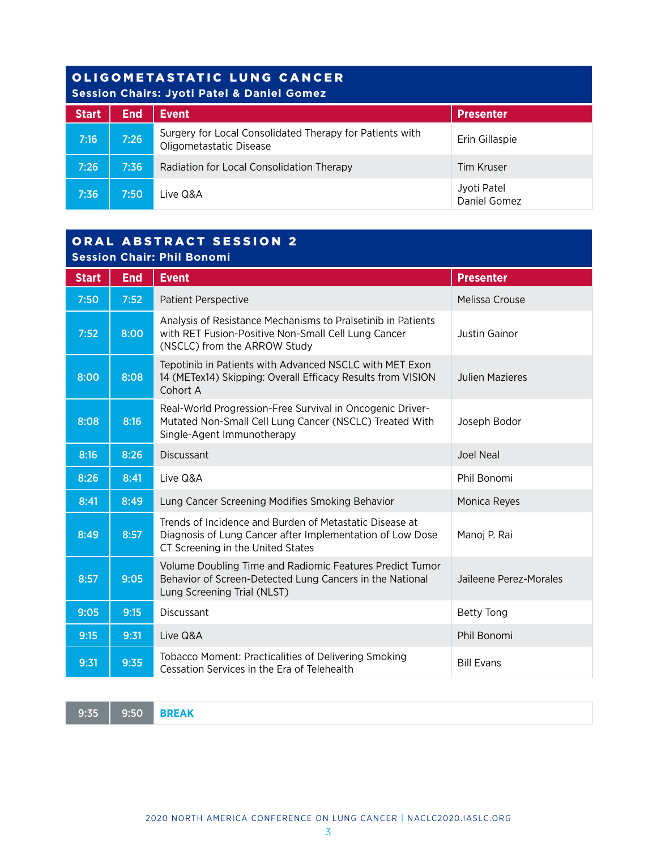### OLIGOMETASTATIC LUNG CANCER **Session Chairs: Jyoti Patel & Daniel Gomez**

| <u>UCSSION CHANGE UTOTER ACTIVE CONTINEER</u> |            |                                                                                     |                             |  |
|-----------------------------------------------|------------|-------------------------------------------------------------------------------------|-----------------------------|--|
| <b>Start</b>                                  | <b>End</b> | <b>Event</b>                                                                        | <b>Presenter</b>            |  |
| 7:16                                          | 7:26       | Surgery for Local Consolidated Therapy for Patients with<br>Oligometastatic Disease | Erin Gillaspie              |  |
| 7:26                                          | 7:36       | Radiation for Local Consolidation Therapy                                           | Tim Kruser                  |  |
| 7:36                                          | 7:50       | Live Q&A                                                                            | Jyoti Patel<br>Daniel Gomez |  |

### ORAL ABSTRACT SESSION 2 **Session Chair: Phil Bonomi**

| <b>Start</b> | <b>End</b> | <b>Event</b>                                                                                                                                              | <b>Presenter</b>       |  |
|--------------|------------|-----------------------------------------------------------------------------------------------------------------------------------------------------------|------------------------|--|
| 7:50         | 7:52       | <b>Patient Perspective</b>                                                                                                                                | Melissa Crouse         |  |
| 7:52         | 8:00       | Analysis of Resistance Mechanisms to Pralsetinib in Patients<br>with RET Fusion-Positive Non-Small Cell Lung Cancer<br>(NSCLC) from the ARROW Study       | Justin Gainor          |  |
| 8:00         | 8:08       | Tepotinib in Patients with Advanced NSCLC with MET Exon<br>14 (METex14) Skipping: Overall Efficacy Results from VISION<br>Cohort A                        | <b>Julien Mazieres</b> |  |
| 8:08         | 8:16       | Real-World Progression-Free Survival in Oncogenic Driver-<br>Mutated Non-Small Cell Lung Cancer (NSCLC) Treated With<br>Single-Agent Immunotherapy        | Joseph Bodor           |  |
| 8:16         | 8:26       | <b>Discussant</b>                                                                                                                                         | Joel Neal              |  |
| 8:26         | 8:41       | Live Q&A                                                                                                                                                  | Phil Bonomi            |  |
| 8:41         | 8:49       | Lung Cancer Screening Modifies Smoking Behavior                                                                                                           | Monica Reyes           |  |
| 8:49         | 8:57       | Trends of Incidence and Burden of Metastatic Disease at<br>Diagnosis of Lung Cancer after Implementation of Low Dose<br>CT Screening in the United States | Manoj P. Rai           |  |
| 8:57         | 9:05       | Volume Doubling Time and Radiomic Features Predict Tumor<br>Behavior of Screen-Detected Lung Cancers in the National<br>Lung Screening Trial (NLST)       | Jaileene Perez-Morales |  |
| 9:05         | 9:15       | <b>Discussant</b>                                                                                                                                         | <b>Betty Tong</b>      |  |
| 9:15         | 9:31       | Live Q&A                                                                                                                                                  | Phil Bonomi            |  |
| 9:31         | 9:35       | <b>Tobacco Moment: Practicalities of Delivering Smoking</b><br>Cessation Services in the Era of Telehealth                                                | <b>Bill Evans</b>      |  |

9:35 9:50 **BREAK**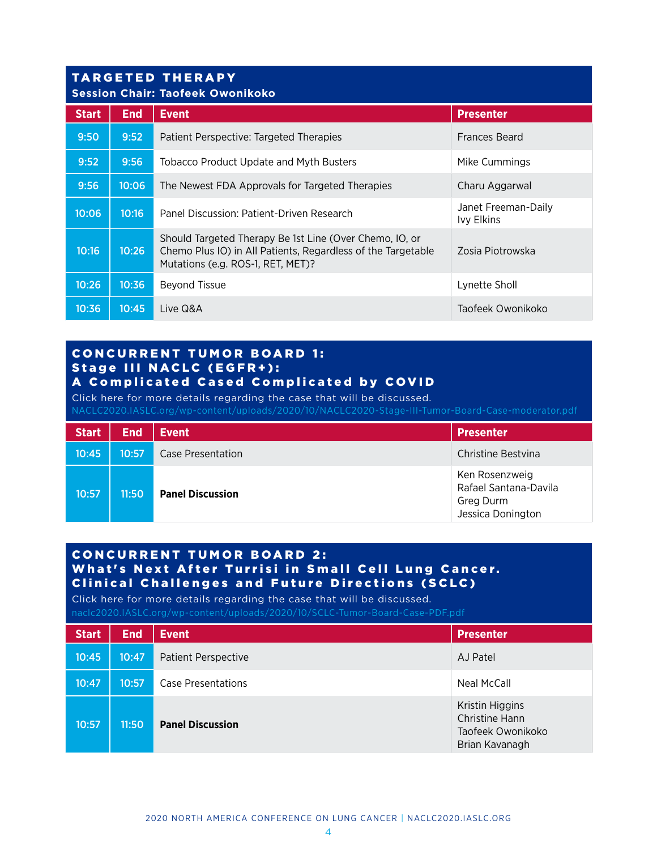## TARGETED THERAPY

| <b>Session Chair: Taofeek Owonikoko</b> |            |                                                                                                                                                              |                                          |  |
|-----------------------------------------|------------|--------------------------------------------------------------------------------------------------------------------------------------------------------------|------------------------------------------|--|
| <b>Start</b>                            | <b>End</b> | <b>Event</b>                                                                                                                                                 | <b>Presenter</b>                         |  |
| 9:50                                    | 9:52       | Patient Perspective: Targeted Therapies                                                                                                                      | <b>Frances Beard</b>                     |  |
| 9:52                                    | 9:56       | <b>Tobacco Product Update and Myth Busters</b>                                                                                                               | Mike Cummings                            |  |
| 9:56                                    | 10:06      | The Newest FDA Approvals for Targeted Therapies                                                                                                              | Charu Aggarwal                           |  |
| 10:06                                   | 10:16      | Panel Discussion: Patient-Driven Research                                                                                                                    | Janet Freeman-Daily<br><b>Ivy Elkins</b> |  |
| 10:16                                   | 10:26      | Should Targeted Therapy Be 1st Line (Over Chemo, IO, or<br>Chemo Plus IO) in All Patients, Regardless of the Targetable<br>Mutations (e.g. ROS-1, RET, MET)? | Zosia Piotrowska                         |  |
| 10:26                                   | 10:36      | <b>Beyond Tissue</b>                                                                                                                                         | Lynette Sholl                            |  |
| 10:36                                   | 10:45      | Live Q&A                                                                                                                                                     | Taofeek Owonikoko                        |  |

#### **CONCURRENT TUMOR BOARD 1:** Stage III NACLC (EGFR+): A Complicated Cased Complicated by COVID

Click here for more details regarding the case that will be discussed.

[NACLC2020.IASLC.org/wp-content/uploads/2020/10/NACLC2020-Stage-III-Tumor-Board-Case-moderator.pdf](naclc2020.iaslc.org/wp-content/uploads/2020/10/NACLC2020-Stage-III-Tumor-Board-Case-moderator.pdf)

| <b>Start</b> | <b>End</b> | <b>Event</b>            | <b>Presenter</b>                                                          |
|--------------|------------|-------------------------|---------------------------------------------------------------------------|
| 10:45        | 10:57      | Case Presentation       | Christine Bestvina                                                        |
| 10:57        | 11:50      | <b>Panel Discussion</b> | Ken Rosenzweig<br>Rafael Santana-Davila<br>Greg Durm<br>Jessica Donington |

### **CONCURRENT TUMOR BOARD 2:** What's Next After Turrisi in Small Cell Lung Cancer. Clinical Challenges and Future Directions (SCLC)

Click here for more details regarding the case that will be discussed. [naclc2020.IASLC.org/wp-content/uploads/2020/10/SCLC-Tumor-Board-Case-PDF.pdf](https://naclc2020.iaslc.org/wp-content/uploads/2020/10/SCLC-Tumor-Board-Case-PDF.pdf)

| <b>Start</b> | <b>End</b> | <b>Event</b>               | <b>Presenter</b>                                                         |
|--------------|------------|----------------------------|--------------------------------------------------------------------------|
| 10:45        | 10:47      | <b>Patient Perspective</b> | AJ Patel                                                                 |
| 10:47        | 10:57      | Case Presentations         | Neal McCall                                                              |
| 10:57        | 11:50      | <b>Panel Discussion</b>    | Kristin Higgins<br>Christine Hann<br>Taofeek Owonikoko<br>Brian Kavanagh |